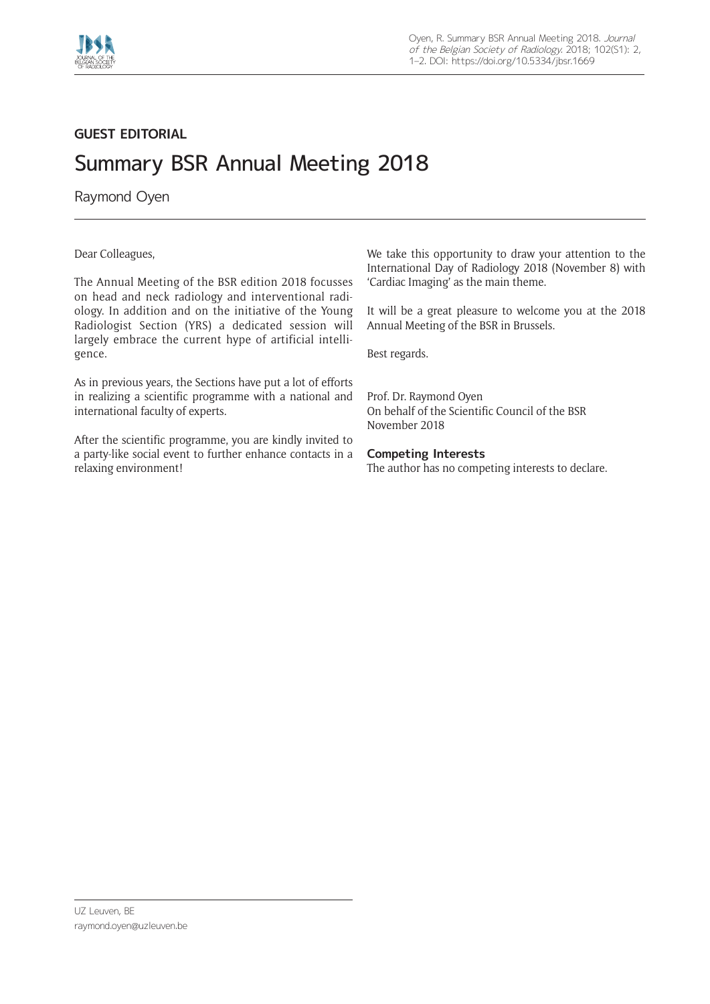

## **GUEST EDITORIAL**

## Summary BSR Annual Meeting 2018

Raymond Oyen

Dear Colleagues,

The Annual Meeting of the BSR edition 2018 focusses on head and neck radiology and interventional radiology. In addition and on the initiative of the Young Radiologist Section (YRS) a dedicated session will largely embrace the current hype of artificial intelligence.

As in previous years, the Sections have put a lot of efforts in realizing a scientific programme with a national and international faculty of experts.

After the scientific programme, you are kindly invited to a party-like social event to further enhance contacts in a relaxing environment!

We take this opportunity to draw your attention to the International Day of Radiology 2018 (November 8) with 'Cardiac Imaging' as the main theme.

It will be a great pleasure to welcome you at the 2018 Annual Meeting of the BSR in Brussels.

Best regards.

Prof. Dr. Raymond Oyen On behalf of the Scientific Council of the BSR November 2018

## **Competing Interests**

The author has no competing interests to declare.